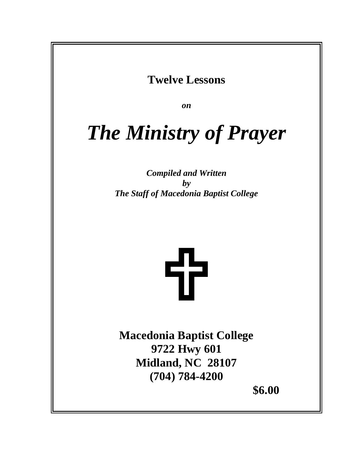### **Twelve Lessons**

*on*

## *The Ministry of Prayer*

*Compiled and Written by The Staff of Macedonia Baptist College*

# 55

**Macedonia Baptist College 9722 Hwy 601 Midland, NC 28107 (704) 784-4200** 

 **\$6.00**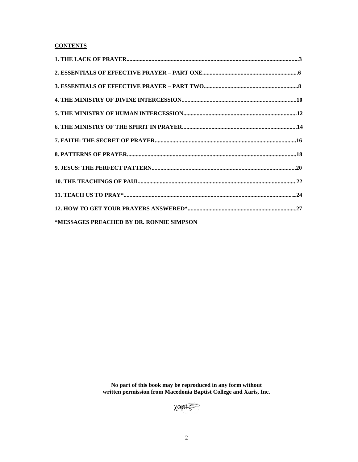#### **CONTENTS**

| *MESSAGES PREACHED BY DR. RONNIE SIMPSON |  |
|------------------------------------------|--|

No part of this book may be reproduced in any form without written permission from Macedonia Baptist College and Xaris, Inc.

XOPIS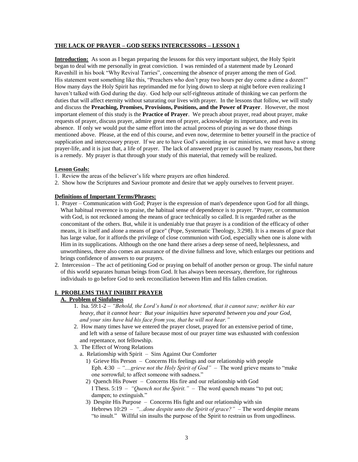#### **THE LACK OF PRAYER – GOD SEEKS INTERCESSORS – LESSON 1**

**Introduction:** As soon as I began preparing the lessons for this very important subject, the Holy Spirit began to deal with me personally in great conviction. I was reminded of a statement made by Leonard Ravenhill in his book "Why Revival Tarries", concerning the absence of prayer among the men of God. His statement went something like this, "Preachers who don't pray two hours per day come a dime a dozen!" How many days the Holy Spirit has reprimanded me for lying down to sleep at night before even realizing I haven't talked with God during the day. God help our self-righteous attitude of thinking we can perform the duties that will affect eternity without saturating our lives with prayer. In the lessons that follow, we will study and discuss the **Preaching, Promises, Provisions, Positions, and the Power of Prayer**. However, the most important element of this study is the **Practice of Prayer**. We preach about prayer, read about prayer, make requests of prayer, discuss prayer, admire great men of prayer, acknowledge its importance, and even its absence. If only we would put the same effort into the actual process of praying as we do those things mentioned above. Please, at the end of this course, and even now, determine to better yourself in the practice of supplication and intercessory prayer. If we are to have God's anointing in our ministries, we must have a strong prayer-life, and it is just that, a life of prayer. The lack of answered prayer is caused by many reasons, but there is a remedy. My prayer is that through your study of this material, that remedy will be realized.

#### **Lesson Goals:**

- 1. Review the areas of the believer's life where prayers are often hindered.
- 2. Show how the Scriptures and Saviour promote and desire that we apply ourselves to fervent prayer.

#### **Definitions of Important Terms/Phrases:**

- 1. Prayer Communication with God; Prayer is the expression of man's dependence upon God for all things. What habitual reverence is to praise, the habitual sense of dependence is to prayer. "Prayer, or communion with God, is not reckoned among the means of grace technically so called. It is regarded rather as the concomitant of the others. But, while it is undeniably true that prayer is a condition of the efficacy of other means, it is itself and alone a means of grace" (Pope, Systematic Theology, 3:298). It is a means of grace that has large value, for it affords the privilege of close communion with God, especially when one is alone with Him in its supplications. Although on the one hand there arises a deep sense of need, helplessness, and unworthiness, there also comes an assurance of the divine fullness and love, which enlarges our petitions and brings confidence of answers to our prayers.
- 2. Intercession The act of petitioning God or praying on behalf of another person or group. The sinful nature of this world separates human beings from God. It has always been necessary, therefore, for righteous individuals to go before God to seek reconciliation between Him and His fallen creation.

#### **I. PROBLEMS THAT INHIBIT PRAYER**

#### **A. Problem of Sinfulness**

- 1. Isa. 59:1-2 *"Behold, the Lord's hand is not shortened, that it cannot save; neither his ear heavy, that it cannot hear: But your iniquities have separated between you and your God, and your sins have hid his face from you, that he will not hear."*
- 2. How many times have we entered the prayer closet, prayed for an extensive period of time, and left with a sense of failure because most of our prayer time was exhausted with confession and repentance, not fellowship.
- 3. The Effect of Wrong Relations
	- a. Relationship with Spirit Sins Against Our Comforter
		- 1) Grieve His Person Concerns His feelings and our relationship with people Eph. 4:30 – *"....grieve not the Holy Spirit of God"* – The word grieve means to "make one sorrowful; to affect someone with sadness."
		- 2) Quench His Power Concerns His fire and our relationship with God I Thess. 5:19 – *"Quench not the Spirit."* – The word quench means "to put out; dampen; to extinguish."
		- 3) Despite His Purpose Concerns His fight and our relationship with sin Hebrews 10:29 – *"...done despite unto the Spirit of grace?"* – The word despite means "to insult." Willful sin insults the purpose of the Spirit to restrain us from ungodliness.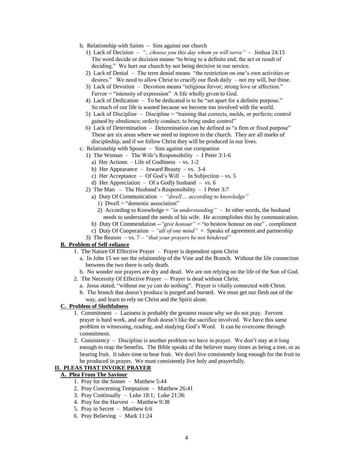- b. Relationship with Saints Sins against our church
	- 1) Lack of Decision *"...choose you this day whom ye will serve"* Joshua 24:15 The word decide or decision means "to bring to a definite end; the act or result of deciding." We hurt our church by not being decisive in our service.
	- 2) Lack of Denial The term denial means "the restriction on one's own activities or desires." We need to allow Christ to crucify our flesh daily – not my will, but thine.
	- 3) Lack of Devotion Devotion means "religious fervor; strong love or affection." Fervor = "intensity of expression" A life wholly given to God.
	- 4) Lack of Dedication To be dedicated is to be "set apart for a definite purpose." So much of our life is wasted because we become too involved with the world.
	- 5) Lack of Discipline Discipline = "training that corrects, molds, or perfects; control gained by obedience; orderly conduct; to bring under control"
	- 6) Lack of Determination Determination can be defined as "a firm or fixed purpose" These are six areas where we need to improve in the church. They are all marks of discipleship, and if we follow Christ they will be produced in our lives.
- c. Relationship with Spouse Sins against our companion
	- 1) The Woman The Wife's Responsibility I Peter 3:1-6
		- a) Her Actions Life of Godliness vs. 1-2
		- b) Her Appearance Inward Beauty vs. 3-4
		- c) Her Acceptance Of God's Will In Subjection vs. 5
		- d) Her Appreciation Of a Godly husband vs. 6
	- 2) The Man The Husband's Responsibility I Peter 3:7
		- a) Duty Of Communication *"dwell ... according to knowledge"*
			- 1) Dwell = "domestic association"
			- 2) According to Knowledge = *"in understanding"* In other words, the husband needs to understand the needs of his wife. He accomplishes this by communication.
		- b) Duty Of Commendation --*"give honour"* = "to bestow honour on one" , compliment
		- c) Duty Of Cooperation *"all of one mind"* = Speaks of agreement and partnership
	- 3) The Reason vs. 7 *"that your prayers be not hindered"*

#### **B. Problem of Self-reliance**

- 1. The Nature Of Effective Prayer Prayer is dependent upon Christ
	- a. In John 15 we see the relationship of the Vine and the Branch. Without the life connection between the two there is only death.
	- b. No wonder our prayers are dry and dead. We are not relying on the life of the Son of God.
- 2. The Necessity Of Effective Prayer Prayer is dead without Christ.
	- a. Jesus stated, "without me ye can do nothing". Prayer is vitally connected with Christ.
	- b. The branch that doesn't produce is purged and burned. We must get our flesh out of the way, and learn to rely on Christ and the Spirit alone.

#### **C. Problem of Slothfulness**

- 1. Commitment Laziness is probably the greatest reason why we do not pray. Fervent prayer is hard work, and our flesh doesn't like the sacrifice involved. We have this same problem in witnessing, reading, and studying God's Word. It can be overcome through commitment.
- 2. Consistency Discipline is another problem we have in prayer. We don't stay at it long enough to reap the benefits. The Bible speaks of the believer many times as being a tree, or as bearing fruit. It takes time to bear fruit. We don't live consistently long enough for the fruit to be produced in prayer. We must consistently live holy and prayerfully.

#### **II. PLEAS THAT INVOKE PRAYER**

#### **A. Plea From The Saviour**

- 1. Pray for the Sinner Matthew 5:44
- 2. Pray Concerning Temptation Matthew 26:41
- 3. Pray Continually Luke 18:1; Luke 21:36
- 4. Pray for the Harvest Matthew 9:38
- 5. Pray in Secret Matthew 6:6
- 6. Pray Believing Mark 11:24